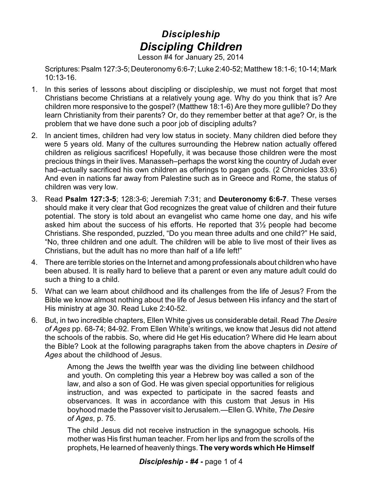## *Discipleship Discipling Children*

Lesson #4 for January 25, 2014

Scriptures: Psalm 127:3-5; Deuteronomy 6:6-7; Luke 2:40-52; Matthew 18:1-6; 10-14; Mark 10:13-16.

- 1. In this series of lessons about discipling or discipleship, we must not forget that most Christians become Christians at a relatively young age. Why do you think that is? Are children more responsive to the gospel? (Matthew 18:1-6) Are they more gullible? Do they learn Christianity from their parents? Or, do they remember better at that age? Or, is the problem that we have done such a poor job of discipling adults?
- 2. In ancient times, children had very low status in society. Many children died before they were 5 years old. Many of the cultures surrounding the Hebrew nation actually offered children as religious sacrifices! Hopefully, it was because those children were the most precious things in their lives. Manasseh–perhaps the worst king the country of Judah ever had–actually sacrificed his own children as offerings to pagan gods. (2 Chronicles 33:6) And even in nations far away from Palestine such as in Greece and Rome, the status of children was very low.
- 3. Read **Psalm 127:3-5**; 128:3-6; Jeremiah 7:31; and **Deuteronomy 6:6-7**. These verses should make it very clear that God recognizes the great value of children and their future potential. The story is told about an evangelist who came home one day, and his wife asked him about the success of his efforts. He reported that 3½ people had become Christians. She responded, puzzled, "Do you mean three adults and one child?" He said, "No, three children and one adult. The children will be able to live most of their lives as Christians, but the adult has no more than half of a life left!"
- 4. There are terrible stories on the Internet and among professionals about children who have been abused. It is really hard to believe that a parent or even any mature adult could do such a thing to a child.
- 5. What can we learn about childhood and its challenges from the life of Jesus? From the Bible we know almost nothing about the life of Jesus between His infancy and the start of His ministry at age 30. Read Luke 2:40-52.
- 6. But, in two incredible chapters, Ellen White gives us considerable detail. Read *The Desire of Ages* pp. 68-74; 84-92. From Ellen White's writings, we know that Jesus did not attend the schools of the rabbis. So, where did He get His education? Where did He learn about the Bible? Look at the following paragraphs taken from the above chapters in *Desire of Ages* about the childhood of Jesus.

Among the Jews the twelfth year was the dividing line between childhood and youth. On completing this year a Hebrew boy was called a son of the law, and also a son of God. He was given special opportunities for religious instruction, and was expected to participate in the sacred feasts and observances. It was in accordance with this custom that Jesus in His boyhood made the Passover visit to Jerusalem.—Ellen G. White, *The Desire of Ages*, p. 75.

The child Jesus did not receive instruction in the synagogue schools. His mother was His first human teacher. From her lips and from the scrolls of the prophets, He learned of heavenly things. **The verywords which He Himself**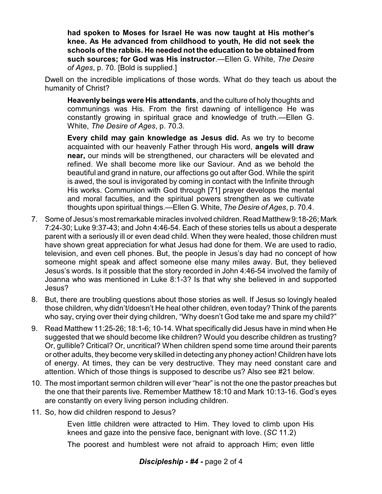**had spoken to Moses for Israel He was now taught at His mother's knee. As He advanced from childhood to youth, He did not seek the schools of the rabbis. He needed not the education to be obtained from such sources; for God was His instructor**.—Ellen G. White, *The Desire of Ages*, p. 70. [Bold is supplied.]

Dwell on the incredible implications of those words. What do they teach us about the humanity of Christ?

**Heavenlybeings were His attendants**, and the culture of holy thoughts and communings was His. From the first dawning of intelligence He was constantly growing in spiritual grace and knowledge of truth.—Ellen G. White, *The Desire of Ages*, p. 70.3.

**Every child may gain knowledge as Jesus did.** As we try to become acquainted with our heavenly Father through His word, **angels will draw near,** our minds will be strengthened, our characters will be elevated and refined. We shall become more like our Saviour. And as we behold the beautiful and grand in nature, our affections go out after God. While the spirit is awed, the soul is invigorated by coming in contact with the Infinite through His works. Communion with God through [71] prayer develops the mental and moral faculties, and the spiritual powers strengthen as we cultivate thoughts upon spiritual things.—Ellen G. White, *The Desire of Ages*, p. 70.4.

- 7. Some of Jesus's most remarkable miracles involved children. Read Matthew 9:18-26; Mark 7:24-30; Luke 9:37-43; and John 4:46-54. Each of these stories tells us about a desperate parent with a seriously ill or even dead child. When they were healed, those children must have shown great appreciation for what Jesus had done for them. We are used to radio, television, and even cell phones. But, the people in Jesus's day had no concept of how someone might speak and affect someone else many miles away. But, they believed Jesus's words. Is it possible that the story recorded in John 4:46-54 involved the family of Joanna who was mentioned in Luke 8:1-3? Is that why she believed in and supported Jesus?
- 8. But, there are troubling questions about those stories as well. If Jesus so lovingly healed those children, why didn't/doesn't He heal other children, even today? Think of the parents who say, crying over their dying children, "Why doesn't God take me and spare my child?"
- 9. Read Matthew 11:25-26; 18:1-6; 10-14. What specifically did Jesus have in mind when He suggested that we should become like children? Would you describe children as trusting? Or, gullible? Critical? Or, uncritical? When children spend some time around their parents or other adults, they become very skilled in detecting any phoney action! Children have lots of energy. At times, they can be very destructive. They may need constant care and attention. Which of those things is supposed to describe us? Also see #21 below.
- 10. The most important sermon children will ever "hear" is not the one the pastor preaches but the one that their parents live. Remember Matthew 18:10 and Mark 10:13-16. God's eyes are constantly on every living person including children.
- 11. So, how did children respond to Jesus?

Even little children were attracted to Him. They loved to climb upon His knees and gaze into the pensive face, benignant with love. (*SC* 11.2)

The poorest and humblest were not afraid to approach Him; even little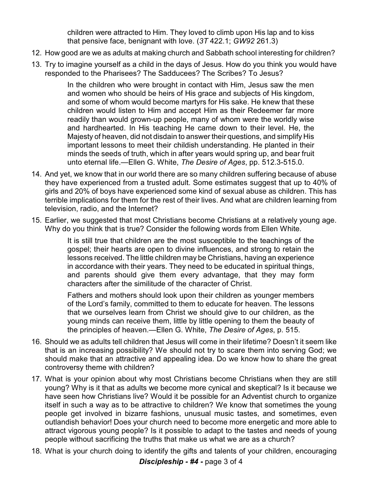children were attracted to Him. They loved to climb upon His lap and to kiss that pensive face, benignant with love. (*3T* 422.1; *GW92* 261.3)

- 12. How good are we as adults at making church and Sabbath school interesting for children?
- 13. Try to imagine yourself as a child in the days of Jesus. How do you think you would have responded to the Pharisees? The Sadducees? The Scribes? To Jesus?

In the children who were brought in contact with Him, Jesus saw the men and women who should be heirs of His grace and subjects of His kingdom, and some of whom would become martyrs for His sake. He knew that these children would listen to Him and accept Him as their Redeemer far more readily than would grown-up people, many of whom were the worldly wise and hardhearted. In His teaching He came down to their level. He, the Majesty of heaven, did not disdain to answer their questions, and simplify His important lessons to meet their childish understanding. He planted in their minds the seeds of truth, which in after years would spring up, and bear fruit unto eternal life.—Ellen G. White, *The Desire of Ages*, pp. 512.3-515.0.

- 14. And yet, we know that in our world there are so many children suffering because of abuse they have experienced from a trusted adult. Some estimates suggest that up to 40% of girls and 20% of boys have experienced some kind of sexual abuse as children. This has terrible implications for them for the rest of their lives. And what are children learning from television, radio, and the Internet?
- 15. Earlier, we suggested that most Christians become Christians at a relatively young age. Why do you think that is true? Consider the following words from Ellen White.

It is still true that children are the most susceptible to the teachings of the gospel; their hearts are open to divine influences, and strong to retain the lessons received. The little children may be Christians, having an experience in accordance with their years. They need to be educated in spiritual things, and parents should give them every advantage, that they may form characters after the similitude of the character of Christ.

Fathers and mothers should look upon their children as younger members of the Lord's family, committed to them to educate for heaven. The lessons that we ourselves learn from Christ we should give to our children, as the young minds can receive them, little by little opening to them the beauty of the principles of heaven.—Ellen G. White, *The Desire of Ages*, p. 515.

- 16. Should we as adults tell children that Jesus will come in their lifetime? Doesn't it seem like that is an increasing possibility? We should not try to scare them into serving God; we should make that an attractive and appealing idea. Do we know how to share the great controversy theme with children?
- 17. What is your opinion about why most Christians become Christians when they are still young? Why is it that as adults we become more cynical and skeptical? Is it because we have seen how Christians live? Would it be possible for an Adventist church to organize itself in such a way as to be attractive to children? We know that sometimes the young people get involved in bizarre fashions, unusual music tastes, and sometimes, even outlandish behavior! Does your church need to become more energetic and more able to attract vigorous young people? Is it possible to adapt to the tastes and needs of young people without sacrificing the truths that make us what we are as a church?
- 18. What is your church doing to identify the gifts and talents of your children, encouraging